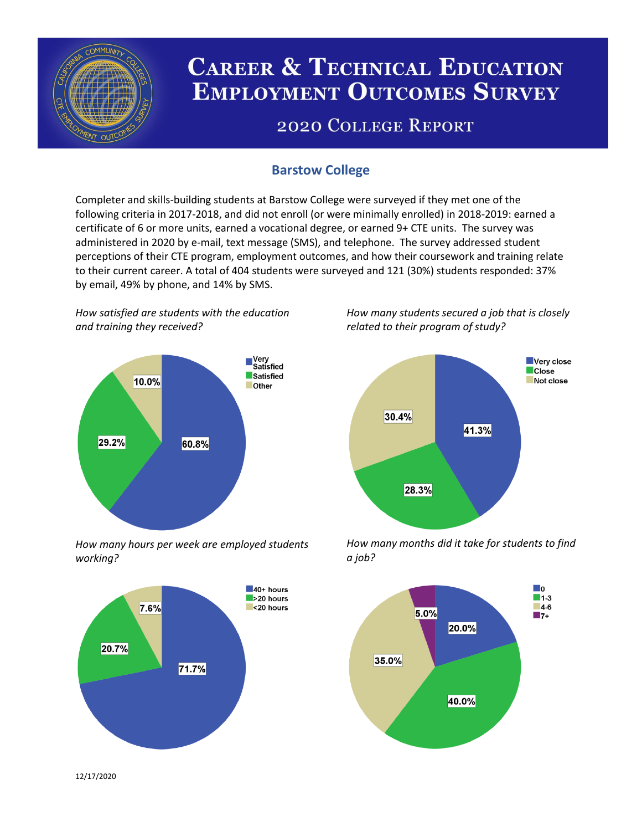

# **CAREER & TECHNICAL EDUCATION EMPLOYMENT OUTCOMES SURVEY**

## **2020 COLLEGE REPORT**

## **Barstow College**

Completer and skills-building students at Barstow College were surveyed if they met one of the following criteria in 2017-2018, and did not enroll (or were minimally enrolled) in 2018-2019: earned a certificate of 6 or more units, earned a vocational degree, or earned 9+ CTE units. The survey was administered in 2020 by e-mail, text message (SMS), and telephone. The survey addressed student perceptions of their CTE program, employment outcomes, and how their coursework and training relate to their current career. A total of 404 students were surveyed and 121 (30%) students responded: 37% by email, 49% by phone, and 14% by SMS.

*How satisfied are students with the education and training they received?*



*How many hours per week are employed students working?*



*How many students secured a job that is closely related to their program of study?*



*How many months did it take for students to find a job?*